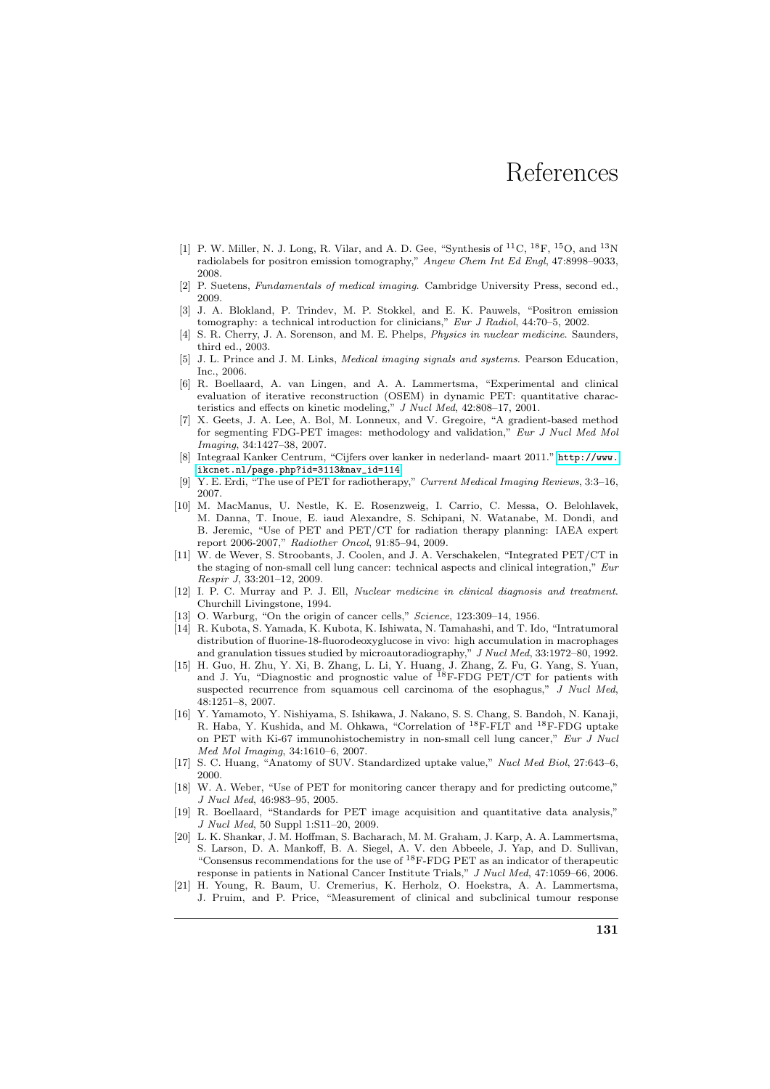## References

- [1] P. W. Miller, N. J. Long, R. Vilar, and A. D. Gee, "Synthesis of  $^{11}$ C,  $^{18}$ F,  $^{15}$ O, and  $^{13}$ N radiolabels for positron emission tomography," Angew Chem Int Ed Engl, 47:8998–9033, 2008.
- [2] P. Suetens, Fundamentals of medical imaging. Cambridge University Press, second ed., 2009.
- [3] J. A. Blokland, P. Trindev, M. P. Stokkel, and E. K. Pauwels, "Positron emission tomography: a technical introduction for clinicians," Eur J Radiol, 44:70-5, 2002.
- [4] S. R. Cherry, J. A. Sorenson, and M. E. Phelps, *Physics in nuclear medicine*. Saunders, third ed., 2003.
- [5] J. L. Prince and J. M. Links, Medical imaging signals and systems. Pearson Education, Inc., 2006.
- [6] R. Boellaard, A. van Lingen, and A. A. Lammertsma, "Experimental and clinical evaluation of iterative reconstruction (OSEM) in dynamic PET: quantitative characteristics and effects on kinetic modeling," J Nucl Med, 42:808–17, 2001.
- [7] X. Geets, J. A. Lee, A. Bol, M. Lonneux, and V. Gregoire, "A gradient-based method for segmenting FDG-PET images: methodology and validation," Eur J Nucl Med Mol Imaging, 34:1427–38, 2007.
- [8] Integraal Kanker Centrum, "Cijfers over kanker in nederland- maart 2011." [http://www.](http://www.ikcnet.nl/page.php?id=3113&nav_id=114) [ikcnet.nl/page.php?id=3113&nav\\_id=114](http://www.ikcnet.nl/page.php?id=3113&nav_id=114).
- [9] Y. E. Erdi, "The use of PET for radiotherapy," Current Medical Imaging Reviews, 3:3–16, 2007.
- [10] M. MacManus, U. Nestle, K. E. Rosenzweig, I. Carrio, C. Messa, O. Belohlavek, M. Danna, T. Inoue, E. iaud Alexandre, S. Schipani, N. Watanabe, M. Dondi, and B. Jeremic, "Use of PET and PET/CT for radiation therapy planning: IAEA expert report 2006-2007," Radiother Oncol, 91:85–94, 2009.
- [11] W. de Wever, S. Stroobants, J. Coolen, and J. A. Verschakelen, "Integrated PET/CT in the staging of non-small cell lung cancer: technical aspects and clinical integration," Eur Respir J, 33:201–12, 2009.
- [12] I. P. C. Murray and P. J. Ell, Nuclear medicine in clinical diagnosis and treatment. Churchill Livingstone, 1994.
- [13] O. Warburg, "On the origin of cancer cells," *Science*, 123:309-14, 1956.
- [14] R. Kubota, S. Yamada, K. Kubota, K. Ishiwata, N. Tamahashi, and T. Ido, "Intratumoral distribution of fluorine-18-fluorodeoxyglucose in vivo: high accumulation in macrophages and granulation tissues studied by microautoradiography," J Nucl Med, 33:1972–80, 1992.
- [15] H. Guo, H. Zhu, Y. Xi, B. Zhang, L. Li, Y. Huang, J. Zhang, Z. Fu, G. Yang, S. Yuan, and J. Yu, "Diagnostic and prognostic value of  $^{18}$ F-FDG PET/CT for patients with suspected recurrence from squamous cell carcinoma of the esophagus," J Nucl Med, 48:1251–8, 2007.
- [16] Y. Yamamoto, Y. Nishiyama, S. Ishikawa, J. Nakano, S. S. Chang, S. Bandoh, N. Kanaji, R. Haba, Y. Kushida, and M. Ohkawa, "Correlation of <sup>18</sup>F-FLT and <sup>18</sup>F-FDG uptake on PET with Ki-67 immunohistochemistry in non-small cell lung cancer," Eur J Nucl Med Mol Imaging, 34:1610–6, 2007.
- [17] S. C. Huang, "Anatomy of SUV. Standardized uptake value," Nucl Med Biol, 27:643–6, 2000.
- [18] W. A. Weber, "Use of PET for monitoring cancer therapy and for predicting outcome," J Nucl Med, 46:983–95, 2005.
- [19] R. Boellaard, "Standards for PET image acquisition and quantitative data analysis," J Nucl Med, 50 Suppl 1:S11–20, 2009.
- [20] L. K. Shankar, J. M. Hoffman, S. Bacharach, M. M. Graham, J. Karp, A. A. Lammertsma, S. Larson, D. A. Mankoff, B. A. Siegel, A. V. den Abbeele, J. Yap, and D. Sullivan, "Consensus recommendations for the use of  ${}^{18}$ F-FDG PET as an indicator of therapeutic response in patients in National Cancer Institute Trials," J Nucl Med, 47:1059–66, 2006.
- [21] H. Young, R. Baum, U. Cremerius, K. Herholz, O. Hoekstra, A. A. Lammertsma, J. Pruim, and P. Price, "Measurement of clinical and subclinical tumour response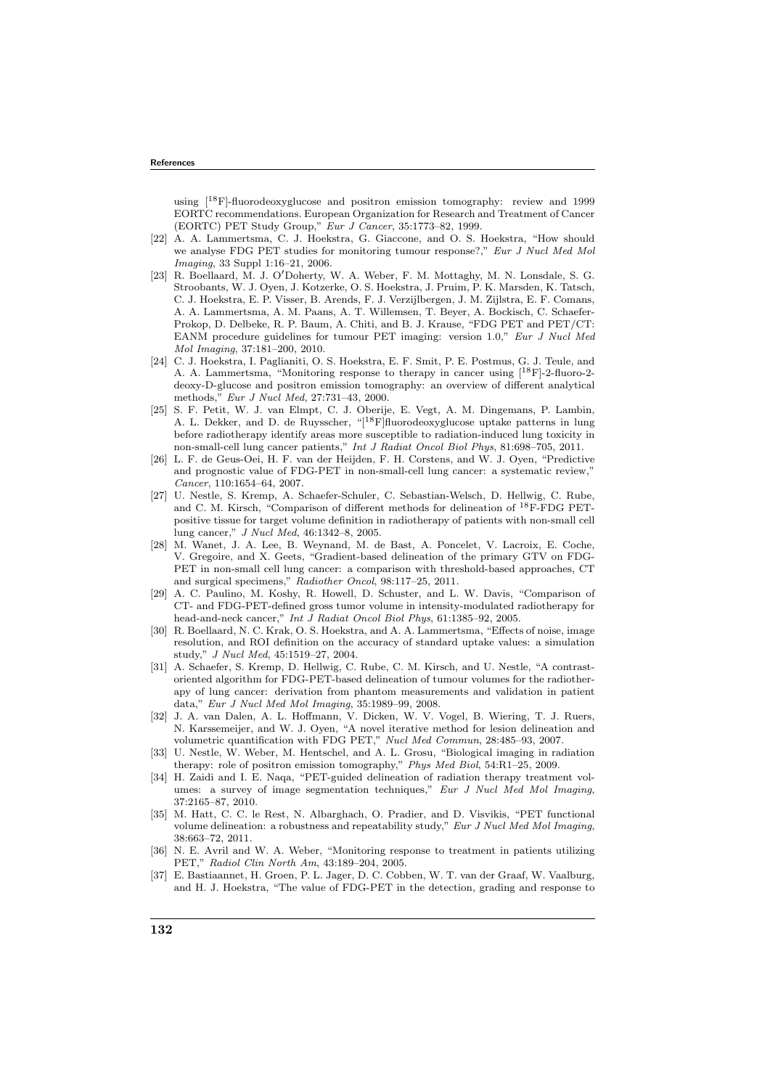using  $[18F]$ -fluorodeoxyglucose and positron emission tomography: review and 1999 EORTC recommendations. European Organization for Research and Treatment of Cancer (EORTC) PET Study Group," Eur J Cancer, 35:1773–82, 1999.

- [22] A. A. Lammertsma, C. J. Hoekstra, G. Giaccone, and O. S. Hoekstra, "How should we analyse FDG PET studies for monitoring tumour response?," Eur J Nucl Med Mol Imaging, 33 Suppl 1:16–21, 2006.
- [23] R. Boellaard, M. J. O′Doherty, W. A. Weber, F. M. Mottaghy, M. N. Lonsdale, S. G. Stroobants, W. J. Oyen, J. Kotzerke, O. S. Hoekstra, J. Pruim, P. K. Marsden, K. Tatsch, C. J. Hoekstra, E. P. Visser, B. Arends, F. J. Verzijlbergen, J. M. Zijlstra, E. F. Comans, A. A. Lammertsma, A. M. Paans, A. T. Willemsen, T. Beyer, A. Bockisch, C. Schaefer-Prokop, D. Delbeke, R. P. Baum, A. Chiti, and B. J. Krause, "FDG PET and PET/CT: EANM procedure guidelines for tumour PET imaging: version 1.0," Eur J Nucl Med Mol Imaging, 37:181–200, 2010.
- [24] C. J. Hoekstra, I. Paglianiti, O. S. Hoekstra, E. F. Smit, P. E. Postmus, G. J. Teule, and A. A. Lammertsma, "Monitoring response to therapy in cancer using [18F]-2-fluoro-2 deoxy-D-glucose and positron emission tomography: an overview of different analytical methods," Eur J Nucl Med, 27:731–43, 2000.
- [25] S. F. Petit, W. J. van Elmpt, C. J. Oberije, E. Vegt, A. M. Dingemans, P. Lambin, A. L. Dekker, and D. de Ruysscher, "[18F]fluorodeoxyglucose uptake patterns in lung before radiotherapy identify areas more susceptible to radiation-induced lung toxicity in non-small-cell lung cancer patients," Int J Radiat Oncol Biol Phys, 81:698–705, 2011.
- [26] L. F. de Geus-Oei, H. F. van der Heijden, F. H. Corstens, and W. J. Oyen, "Predictive and prognostic value of FDG-PET in non-small-cell lung cancer: a systematic review," Cancer, 110:1654–64, 2007.
- [27] U. Nestle, S. Kremp, A. Schaefer-Schuler, C. Sebastian-Welsch, D. Hellwig, C. Rube, and C. M. Kirsch, "Comparison of different methods for delineation of <sup>18</sup>F-FDG PETpositive tissue for target volume definition in radiotherapy of patients with non-small cell lung cancer," J Nucl Med, 46:1342–8, 2005.
- [28] M. Wanet, J. A. Lee, B. Weynand, M. de Bast, A. Poncelet, V. Lacroix, E. Coche, V. Gregoire, and X. Geets, "Gradient-based delineation of the primary GTV on FDG-PET in non-small cell lung cancer: a comparison with threshold-based approaches, CT and surgical specimens," Radiother Oncol, 98:117–25, 2011.
- [29] A. C. Paulino, M. Koshy, R. Howell, D. Schuster, and L. W. Davis, "Comparison of CT- and FDG-PET-defined gross tumor volume in intensity-modulated radiotherapy for head-and-neck cancer," Int J Radiat Oncol Biol Phys, 61:1385–92, 2005.
- [30] R. Boellaard, N. C. Krak, O. S. Hoekstra, and A. A. Lammertsma, "Effects of noise, image resolution, and ROI definition on the accuracy of standard uptake values: a simulation study," J Nucl Med, 45:1519–27, 2004.
- [31] A. Schaefer, S. Kremp, D. Hellwig, C. Rube, C. M. Kirsch, and U. Nestle, "A contrastoriented algorithm for FDG-PET-based delineation of tumour volumes for the radiotherapy of lung cancer: derivation from phantom measurements and validation in patient data," Eur J Nucl Med Mol Imaging, 35:1989–99, 2008.
- [32] J. A. van Dalen, A. L. Hoffmann, V. Dicken, W. V. Vogel, B. Wiering, T. J. Ruers, N. Karssemeijer, and W. J. Oyen, "A novel iterative method for lesion delineation and volumetric quantification with FDG PET," Nucl Med Commun, 28:485–93, 2007.
- [33] U. Nestle, W. Weber, M. Hentschel, and A. L. Grosu, "Biological imaging in radiation therapy: role of positron emission tomography," Phys Med Biol, 54:R1–25, 2009.
- [34] H. Zaidi and I. E. Naqa, "PET-guided delineation of radiation therapy treatment volumes: a survey of image segmentation techniques," Eur J Nucl Med Mol Imaging, 37:2165–87, 2010.
- [35] M. Hatt, C. C. le Rest, N. Albarghach, O. Pradier, and D. Visvikis, "PET functional volume delineation: a robustness and repeatability study," Eur J Nucl Med Mol Imaging, 38:663–72, 2011.
- [36] N. E. Avril and W. A. Weber, "Monitoring response to treatment in patients utilizing PET," Radiol Clin North Am, 43:189–204, 2005.
- [37] E. Bastiaannet, H. Groen, P. L. Jager, D. C. Cobben, W. T. van der Graaf, W. Vaalburg, and H. J. Hoekstra, "The value of FDG-PET in the detection, grading and response to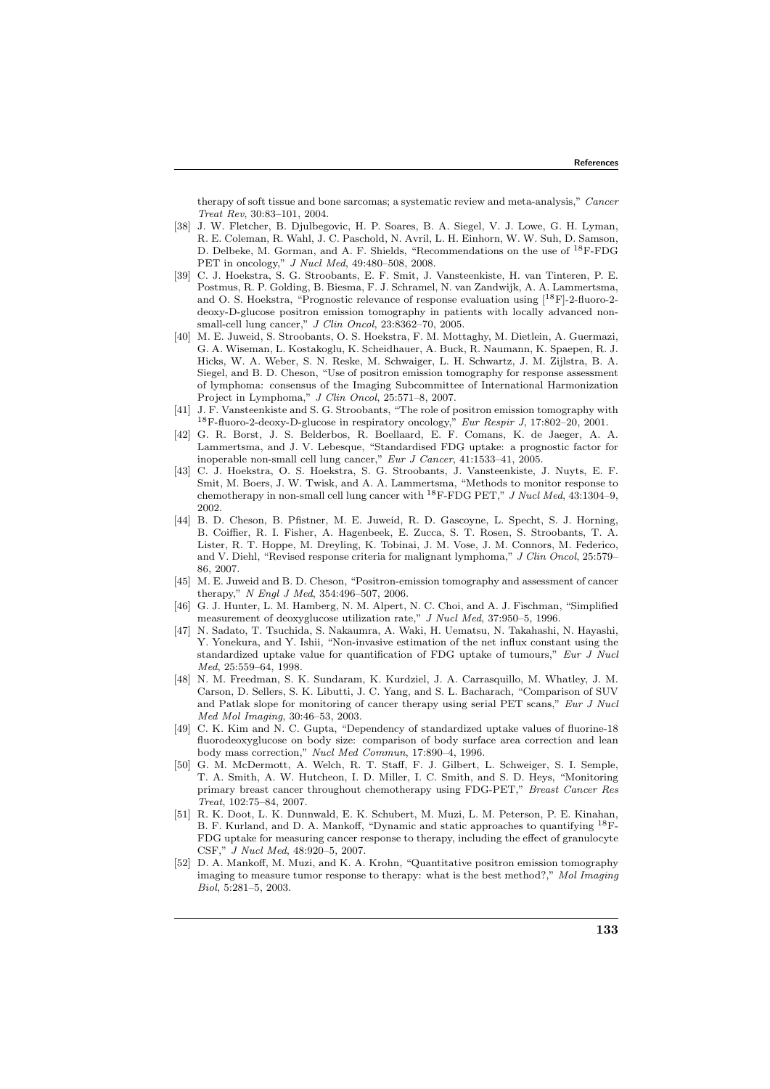therapy of soft tissue and bone sarcomas; a systematic review and meta-analysis," Cancer Treat Rev, 30:83–101, 2004.

- [38] J. W. Fletcher, B. Djulbegovic, H. P. Soares, B. A. Siegel, V. J. Lowe, G. H. Lyman, R. E. Coleman, R. Wahl, J. C. Paschold, N. Avril, L. H. Einhorn, W. W. Suh, D. Samson, D. Delbeke, M. Gorman, and A. F. Shields, "Recommendations on the use of <sup>18</sup>F-FDG PET in oncology," J Nucl Med, 49:480–508, 2008.
- [39] C. J. Hoekstra, S. G. Stroobants, E. F. Smit, J. Vansteenkiste, H. van Tinteren, P. E. Postmus, R. P. Golding, B. Biesma, F. J. Schramel, N. van Zandwijk, A. A. Lammertsma, and O. S. Hoekstra, "Prognostic relevance of response evaluation using  $[{}^{18}F]$ -2-fluoro-2deoxy-D-glucose positron emission tomography in patients with locally advanced nonsmall-cell lung cancer," J Clin Oncol, 23:8362–70, 2005.
- [40] M. E. Juweid, S. Stroobants, O. S. Hoekstra, F. M. Mottaghy, M. Dietlein, A. Guermazi, G. A. Wiseman, L. Kostakoglu, K. Scheidhauer, A. Buck, R. Naumann, K. Spaepen, R. J. Hicks, W. A. Weber, S. N. Reske, M. Schwaiger, L. H. Schwartz, J. M. Zijlstra, B. A. Siegel, and B. D. Cheson, "Use of positron emission tomography for response assessment of lymphoma: consensus of the Imaging Subcommittee of International Harmonization Project in Lymphoma," J Clin Oncol, 25:571–8, 2007.
- [41] J. F. Vansteenkiste and S. G. Stroobants, "The role of positron emission tomography with  $^{18}{\rm F}\mbox{-}$  fluoro-2-deoxy-D-glucose in respiratory oncology,"  $\it Eur~Respir~J,$  17:802–20, 2001.
- [42] G. R. Borst, J. S. Belderbos, R. Boellaard, E. F. Comans, K. de Jaeger, A. A. Lammertsma, and J. V. Lebesque, "Standardised FDG uptake: a prognostic factor for inoperable non-small cell lung cancer," Eur J Cancer, 41:1533–41, 2005.
- [43] C. J. Hoekstra, O. S. Hoekstra, S. G. Stroobants, J. Vansteenkiste, J. Nuyts, E. F. Smit, M. Boers, J. W. Twisk, and A. A. Lammertsma, "Methods to monitor response to chemotherapy in non-small cell lung cancer with  $^{18}$ F-FDG PET," *J Nucl Med*, 43:1304-9, 2002.
- [44] B. D. Cheson, B. Pfistner, M. E. Juweid, R. D. Gascoyne, L. Specht, S. J. Horning, B. Coiffier, R. I. Fisher, A. Hagenbeek, E. Zucca, S. T. Rosen, S. Stroobants, T. A. Lister, R. T. Hoppe, M. Dreyling, K. Tobinai, J. M. Vose, J. M. Connors, M. Federico, and V. Diehl, "Revised response criteria for malignant lymphoma," J Clin Oncol, 25:579– 86, 2007.
- [45] M. E. Juweid and B. D. Cheson, "Positron-emission tomography and assessment of cancer therapy," N Engl J Med, 354:496–507, 2006.
- [46] G. J. Hunter, L. M. Hamberg, N. M. Alpert, N. C. Choi, and A. J. Fischman, "Simplified measurement of deoxyglucose utilization rate," J Nucl Med, 37:950–5, 1996.
- [47] N. Sadato, T. Tsuchida, S. Nakaumra, A. Waki, H. Uematsu, N. Takahashi, N. Hayashi, Y. Yonekura, and Y. Ishii, "Non-invasive estimation of the net influx constant using the standardized uptake value for quantification of FDG uptake of tumours," Eur J Nucl Med, 25:559–64, 1998.
- [48] N. M. Freedman, S. K. Sundaram, K. Kurdziel, J. A. Carrasquillo, M. Whatley, J. M. Carson, D. Sellers, S. K. Libutti, J. C. Yang, and S. L. Bacharach, "Comparison of SUV and Patlak slope for monitoring of cancer therapy using serial PET scans," Eur J Nucl Med Mol Imaging, 30:46–53, 2003.
- [49] C. K. Kim and N. C. Gupta, "Dependency of standardized uptake values of fluorine-18 fluorodeoxyglucose on body size: comparison of body surface area correction and lean body mass correction," Nucl Med Commun, 17:890–4, 1996.
- [50] G. M. McDermott, A. Welch, R. T. Staff, F. J. Gilbert, L. Schweiger, S. I. Semple, T. A. Smith, A. W. Hutcheon, I. D. Miller, I. C. Smith, and S. D. Heys, "Monitoring primary breast cancer throughout chemotherapy using FDG-PET," Breast Cancer Res Treat, 102:75–84, 2007.
- [51] R. K. Doot, L. K. Dunnwald, E. K. Schubert, M. Muzi, L. M. Peterson, P. E. Kinahan, B. F. Kurland, and D. A. Mankoff, "Dynamic and static approaches to quantifying <sup>18</sup>F-FDG uptake for measuring cancer response to therapy, including the effect of granulocyte CSF," J Nucl Med, 48:920–5, 2007.
- [52] D. A. Mankoff, M. Muzi, and K. A. Krohn, "Quantitative positron emission tomography imaging to measure tumor response to therapy: what is the best method?," Mol Imaging Biol, 5:281–5, 2003.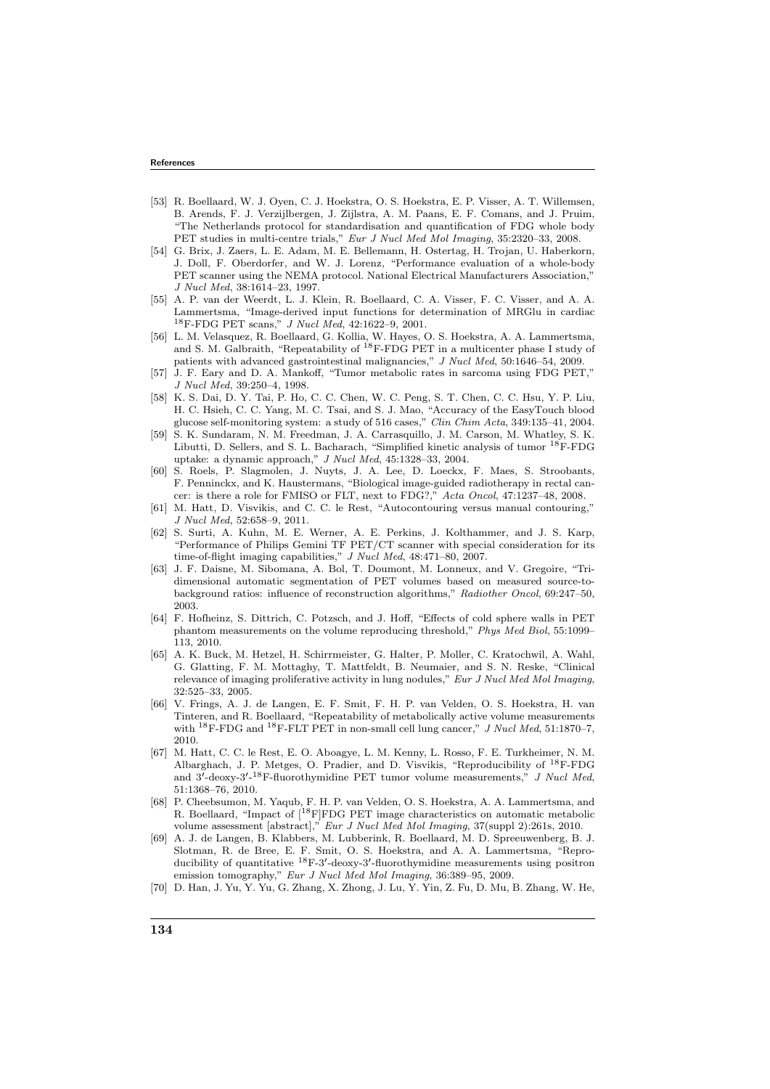## References

- [53] R. Boellaard, W. J. Oyen, C. J. Hoekstra, O. S. Hoekstra, E. P. Visser, A. T. Willemsen, B. Arends, F. J. Verzijlbergen, J. Zijlstra, A. M. Paans, E. F. Comans, and J. Pruim, "The Netherlands protocol for standardisation and quantification of FDG whole body PET studies in multi-centre trials," Eur J Nucl Med Mol Imaging, 35:2320-33, 2008.
- [54] G. Brix, J. Zaers, L. E. Adam, M. E. Bellemann, H. Ostertag, H. Trojan, U. Haberkorn, J. Doll, F. Oberdorfer, and W. J. Lorenz, "Performance evaluation of a whole-body PET scanner using the NEMA protocol. National Electrical Manufacturers Association,' J Nucl Med, 38:1614–23, 1997.
- [55] A. P. van der Weerdt, L. J. Klein, R. Boellaard, C. A. Visser, F. C. Visser, and A. A. Lammertsma, "Image-derived input functions for determination of MRGlu in cardiac <sup>18</sup>F-FDG PET scans," J Nucl Med, 42:1622–9, 2001.
- [56] L. M. Velasquez, R. Boellaard, G. Kollia, W. Hayes, O. S. Hoekstra, A. A. Lammertsma, and S. M. Galbraith, "Repeatability of <sup>18</sup>F-FDG PET in a multicenter phase I study of patients with advanced gastrointestinal malignancies," J Nucl Med, 50:1646–54, 2009.
- [57] J. F. Eary and D. A. Mankoff, "Tumor metabolic rates in sarcoma using FDG PET," J Nucl Med, 39:250–4, 1998.
- [58] K. S. Dai, D. Y. Tai, P. Ho, C. C. Chen, W. C. Peng, S. T. Chen, C. C. Hsu, Y. P. Liu, H. C. Hsieh, C. C. Yang, M. C. Tsai, and S. J. Mao, "Accuracy of the EasyTouch blood glucose self-monitoring system: a study of 516 cases," Clin Chim Acta, 349:135–41, 2004.
- [59] S. K. Sundaram, N. M. Freedman, J. A. Carrasquillo, J. M. Carson, M. Whatley, S. K. Libutti, D. Sellers, and S. L. Bacharach, "Simplified kinetic analysis of tumor <sup>18</sup>F-FDG uptake: a dynamic approach," J Nucl Med, 45:1328–33, 2004.
- [60] S. Roels, P. Slagmolen, J. Nuyts, J. A. Lee, D. Loeckx, F. Maes, S. Stroobants, F. Penninckx, and K. Haustermans, "Biological image-guided radiotherapy in rectal cancer: is there a role for FMISO or FLT, next to FDG?," Acta Oncol, 47:1237–48, 2008.
- [61] M. Hatt, D. Visvikis, and C. C. le Rest, "Autocontouring versus manual contouring," J Nucl Med, 52:658–9, 2011.
- [62] S. Surti, A. Kuhn, M. E. Werner, A. E. Perkins, J. Kolthammer, and J. S. Karp, "Performance of Philips Gemini TF PET/CT scanner with special consideration for its time-of-flight imaging capabilities," J Nucl Med, 48:471–80, 2007.
- [63] J. F. Daisne, M. Sibomana, A. Bol, T. Doumont, M. Lonneux, and V. Gregoire, "Tridimensional automatic segmentation of PET volumes based on measured source-tobackground ratios: influence of reconstruction algorithms," Radiother Oncol, 69:247–50, 2003.
- [64] F. Hofheinz, S. Dittrich, C. Potzsch, and J. Hoff, "Effects of cold sphere walls in PET phantom measurements on the volume reproducing threshold," Phys Med Biol, 55:1099-113, 2010.
- [65] A. K. Buck, M. Hetzel, H. Schirrmeister, G. Halter, P. Moller, C. Kratochwil, A. Wahl, G. Glatting, F. M. Mottaghy, T. Mattfeldt, B. Neumaier, and S. N. Reske, "Clinical relevance of imaging proliferative activity in lung nodules," Eur J Nucl Med Mol Imaging, 32:525–33, 2005.
- [66] V. Frings, A. J. de Langen, E. F. Smit, F. H. P. van Velden, O. S. Hoekstra, H. van Tinteren, and R. Boellaard, "Repeatability of metabolically active volume measurements with  $^{18}$ F-FDG and  $^{18}$ F-FLT PET in non-small cell lung cancer," *J Nucl Med*, 51:1870-7, 2010.
- [67] M. Hatt, C. C. le Rest, E. O. Aboagye, L. M. Kenny, L. Rosso, F. E. Turkheimer, N. M. Albarghach, J. P. Metges, O. Pradier, and D. Visvikis, "Reproducibility of <sup>18</sup>F-FDG and  $3'$ -deoxy- $3'$ -<sup>18</sup>F-fluorothymidine PET tumor volume measurements," *J Nucl Med*, 51:1368–76, 2010.
- [68] P. Cheebsumon, M. Yaqub, F. H. P. van Velden, O. S. Hoekstra, A. A. Lammertsma, and R. Boellaard, "Impact of [18F]FDG PET image characteristics on automatic metabolic volume assessment [abstract]," Eur J Nucl Med Mol Imaging, 37(suppl 2):261s, 2010.
- [69] A. J. de Langen, B. Klabbers, M. Lubberink, R. Boellaard, M. D. Spreeuwenberg, B. J. Slotman, R. de Bree, E. F. Smit, O. S. Hoekstra, and A. A. Lammertsma, "Reproducibility of quantitative <sup>18</sup>F-3'-deoxy-3'-fluorothymidine measurements using positron emission tomography," Eur J Nucl Med Mol Imaging, 36:389–95, 2009.
- [70] D. Han, J. Yu, Y. Yu, G. Zhang, X. Zhong, J. Lu, Y. Yin, Z. Fu, D. Mu, B. Zhang, W. He,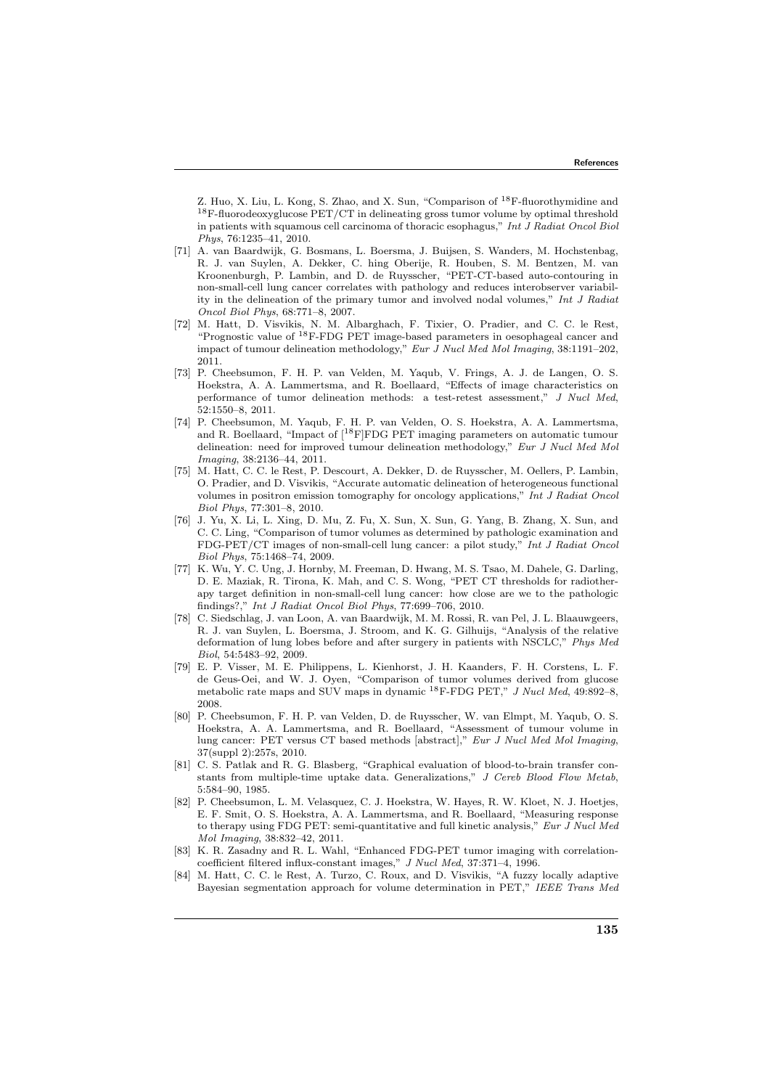Z. Huo, X. Liu, L. Kong, S. Zhao, and X. Sun, "Comparison of <sup>18</sup>F-fluorothymidine and <sup>18</sup>F-fluorodeoxyglucose PET/CT in delineating gross tumor volume by optimal threshold in patients with squamous cell carcinoma of thoracic esophagus," Int J Radiat Oncol Biol Phys, 76:1235–41, 2010.

- [71] A. van Baardwijk, G. Bosmans, L. Boersma, J. Buijsen, S. Wanders, M. Hochstenbag, R. J. van Suylen, A. Dekker, C. hing Oberije, R. Houben, S. M. Bentzen, M. van Kroonenburgh, P. Lambin, and D. de Ruysscher, "PET-CT-based auto-contouring in non-small-cell lung cancer correlates with pathology and reduces interobserver variability in the delineation of the primary tumor and involved nodal volumes," Int J Radiat Oncol Biol Phys, 68:771–8, 2007.
- [72] M. Hatt, D. Visvikis, N. M. Albarghach, F. Tixier, O. Pradier, and C. C. le Rest, "Prognostic value of <sup>18</sup>F-FDG PET image-based parameters in oesophageal cancer and impact of tumour delineation methodology," Eur J Nucl Med Mol Imaging, 38:1191–202, 2011.
- [73] P. Cheebsumon, F. H. P. van Velden, M. Yaqub, V. Frings, A. J. de Langen, O. S. Hoekstra, A. A. Lammertsma, and R. Boellaard, "Effects of image characteristics on performance of tumor delineation methods: a test-retest assessment," J Nucl Med, 52:1550–8, 2011.
- [74] P. Cheebsumon, M. Yaqub, F. H. P. van Velden, O. S. Hoekstra, A. A. Lammertsma, and R. Boellaard, "Impact of [<sup>18</sup>F]FDG PET imaging parameters on automatic tumour delineation: need for improved tumour delineation methodology," Eur J Nucl Med Mol Imaging, 38:2136–44, 2011.
- [75] M. Hatt, C. C. le Rest, P. Descourt, A. Dekker, D. de Ruysscher, M. Oellers, P. Lambin, O. Pradier, and D. Visvikis, "Accurate automatic delineation of heterogeneous functional volumes in positron emission tomography for oncology applications," Int J Radiat Oncol Biol Phys, 77:301–8, 2010.
- [76] J. Yu, X. Li, L. Xing, D. Mu, Z. Fu, X. Sun, X. Sun, G. Yang, B. Zhang, X. Sun, and C. C. Ling, "Comparison of tumor volumes as determined by pathologic examination and FDG-PET/CT images of non-small-cell lung cancer: a pilot study," Int J Radiat Oncol Biol Phys, 75:1468–74, 2009.
- [77] K. Wu, Y. C. Ung, J. Hornby, M. Freeman, D. Hwang, M. S. Tsao, M. Dahele, G. Darling, D. E. Maziak, R. Tirona, K. Mah, and C. S. Wong, "PET CT thresholds for radiotherapy target definition in non-small-cell lung cancer: how close are we to the pathologic findings?," Int J Radiat Oncol Biol Phys, 77:699–706, 2010.
- [78] C. Siedschlag, J. van Loon, A. van Baardwijk, M. M. Rossi, R. van Pel, J. L. Blaauwgeers, R. J. van Suylen, L. Boersma, J. Stroom, and K. G. Gilhuijs, "Analysis of the relative deformation of lung lobes before and after surgery in patients with NSCLC," Phys Med Biol, 54:5483–92, 2009.
- [79] E. P. Visser, M. E. Philippens, L. Kienhorst, J. H. Kaanders, F. H. Corstens, L. F. de Geus-Oei, and W. J. Oyen, "Comparison of tumor volumes derived from glucose metabolic rate maps and SUV maps in dynamic <sup>18</sup>F-FDG PET," J Nucl Med, 49:892-8, 2008.
- [80] P. Cheebsumon, F. H. P. van Velden, D. de Ruysscher, W. van Elmpt, M. Yaqub, O. S. Hoekstra, A. A. Lammertsma, and R. Boellaard, "Assessment of tumour volume in lung cancer: PET versus CT based methods [abstract]," Eur J Nucl Med Mol Imaging, 37(suppl 2):257s, 2010.
- [81] C. S. Patlak and R. G. Blasberg, "Graphical evaluation of blood-to-brain transfer constants from multiple-time uptake data. Generalizations," J Cereb Blood Flow Metab, 5:584–90, 1985.
- [82] P. Cheebsumon, L. M. Velasquez, C. J. Hoekstra, W. Hayes, R. W. Kloet, N. J. Hoetjes, E. F. Smit, O. S. Hoekstra, A. A. Lammertsma, and R. Boellaard, "Measuring response to therapy using FDG PET: semi-quantitative and full kinetic analysis," Eur J Nucl Med Mol Imaging, 38:832–42, 2011.
- [83] K. R. Zasadny and R. L. Wahl, "Enhanced FDG-PET tumor imaging with correlationcoefficient filtered influx-constant images," J Nucl Med, 37:371–4, 1996.
- [84] M. Hatt, C. C. le Rest, A. Turzo, C. Roux, and D. Visvikis, "A fuzzy locally adaptive Bayesian segmentation approach for volume determination in PET," IEEE Trans Med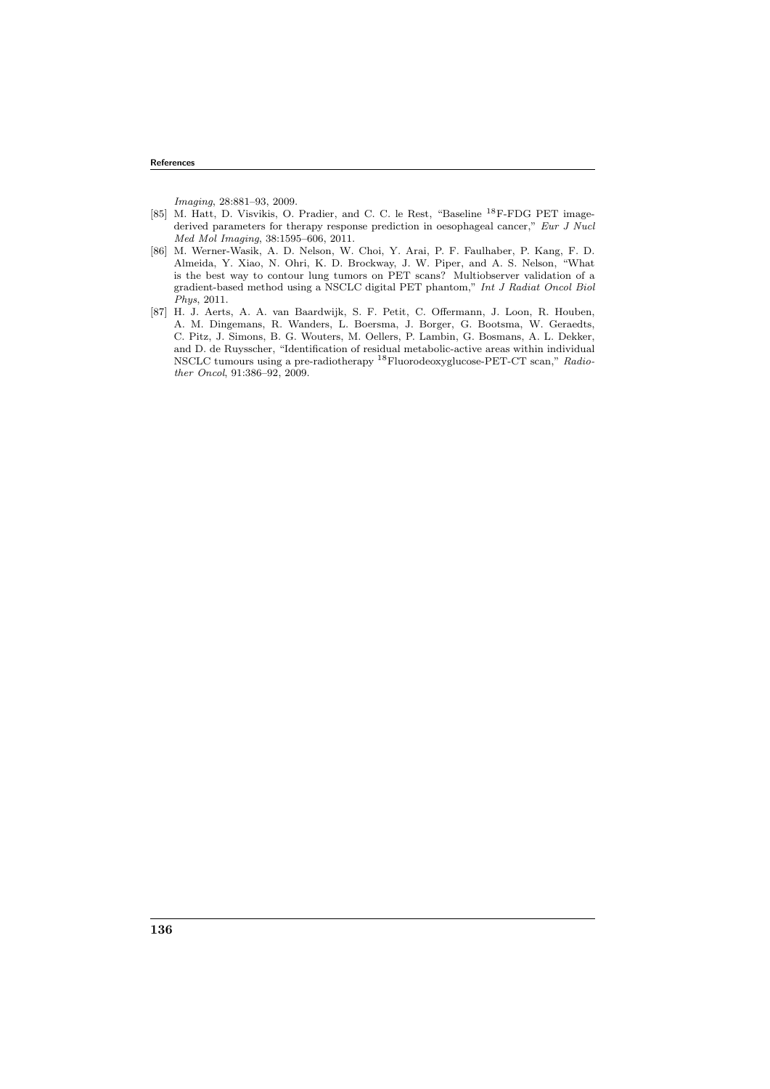Imaging, 28:881–93, 2009.

- [85] M. Hatt, D. Visvikis, O. Pradier, and C. C. le Rest, "Baseline <sup>18</sup>F-FDG PET imagederived parameters for therapy response prediction in oesophageal cancer," Eur J Nucl Med Mol Imaging, 38:1595–606, 2011.
- [86] M. Werner-Wasik, A. D. Nelson, W. Choi, Y. Arai, P. F. Faulhaber, P. Kang, F. D. Almeida, Y. Xiao, N. Ohri, K. D. Brockway, J. W. Piper, and A. S. Nelson, "What is the best way to contour lung tumors on PET scans? Multiobserver validation of a gradient-based method using a NSCLC digital PET phantom," Int J Radiat Oncol Biol Phys, 2011.
- [87] H. J. Aerts, A. A. van Baardwijk, S. F. Petit, C. Offermann, J. Loon, R. Houben, A. M. Dingemans, R. Wanders, L. Boersma, J. Borger, G. Bootsma, W. Geraedts, C. Pitz, J. Simons, B. G. Wouters, M. Oellers, P. Lambin, G. Bosmans, A. L. Dekker, and D. de Ruysscher, "Identification of residual metabolic-active areas within individual NSCLC tumours using a pre-radiotherapy <sup>18</sup>Fluorodeoxyglucose-PET-CT scan," Radiother Oncol, 91:386–92, 2009.